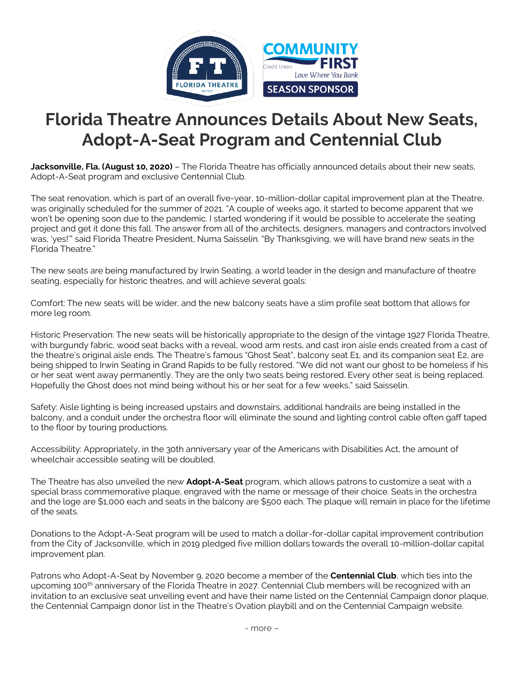

## **Florida Theatre Announces Details About New Seats, Adopt-A-Seat Program and Centennial Club**

**Jacksonville, Fla. (August 10, 2020)** – The Florida Theatre has officially announced details about their new seats, Adopt-A-Seat program and exclusive Centennial Club.

The seat renovation, which is part of an overall five-year, 10-million-dollar capital improvement plan at the Theatre, was originally scheduled for the summer of 2021. "A couple of weeks ago, it started to become apparent that we won't be opening soon due to the pandemic. I started wondering if it would be possible to accelerate the seating project and get it done this fall. The answer from all of the architects, designers, managers and contractors involved was, 'yes!'" said Florida Theatre President, Numa Saisselin. "By Thanksgiving, we will have brand new seats in the Florida Theatre."

The new seats are being manufactured by Irwin Seating, a world leader in the design and manufacture of theatre seating, especially for historic theatres, and will achieve several goals:

Comfort: The new seats will be wider, and the new balcony seats have a slim profile seat bottom that allows for more leg room.

Historic Preservation: The new seats will be historically appropriate to the design of the vintage 1927 Florida Theatre, with burgundy fabric, wood seat backs with a reveal, wood arm rests, and cast iron aisle ends created from a cast of the theatre's original aisle ends. The Theatre's famous "Ghost Seat", balcony seat E1, and its companion seat E2, are being shipped to Irwin Seating in Grand Rapids to be fully restored. "We did not want our ghost to be homeless if his or her seat went away permanently. They are the only two seats being restored. Every other seat is being replaced. Hopefully the Ghost does not mind being without his or her seat for a few weeks," said Saisselin.

Safety: Aisle lighting is being increased upstairs and downstairs, additional handrails are being installed in the balcony, and a conduit under the orchestra floor will eliminate the sound and lighting control cable often gaff taped to the floor by touring productions.

Accessibility: Appropriately, in the 30th anniversary year of the Americans with Disabilities Act, the amount of wheelchair accessible seating will be doubled.

The Theatre has also unveiled the new **Adopt-A-Seat** program, which allows patrons to customize a seat with a special brass commemorative plaque, engraved with the name or message of their choice. Seats in the orchestra and the loge are \$1,000 each and seats in the balcony are \$500 each. The plaque will remain in place for the lifetime of the seats.

Donations to the Adopt-A-Seat program will be used to match a dollar-for-dollar capital improvement contribution from the City of Jacksonville, which in 2019 pledged five million dollars towards the overall 10-million-dollar capital improvement plan.

Patrons who Adopt-A-Seat by November 9, 2020 become a member of the **Centennial Club**, which ties into the upcoming 100<sup>th</sup> anniversary of the Florida Theatre in 2027. Centennial Club members will be recognized with an invitation to an exclusive seat unveiling event and have their name listed on the Centennial Campaign donor plaque, the Centennial Campaign donor list in the Theatre's Ovation playbill and on the Centennial Campaign website.